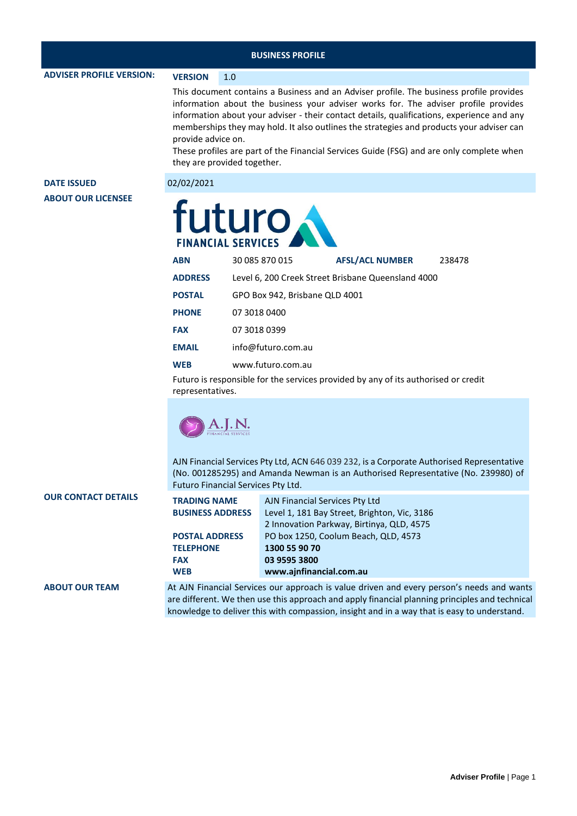**ADVISER PROFILE VERSION: VERSION** 1.0

This document contains a Business and an Adviser profile. The business profile provides information about the business your adviser works for. The adviser profile provides information about your adviser - their contact details, qualifications, experience and any memberships they may hold. It also outlines the strategies and products your adviser can provide advice on.

These profiles are part of the Financial Services Guide (FSG) and are only complete when they are provided together.

**DATE ISSUED** 02/02/2021 **ABOUT OUR LICENSEE**

| uturo<br><b>FINANCIAL SERVICES</b> |                                |                                                    |        |  |  |  |
|------------------------------------|--------------------------------|----------------------------------------------------|--------|--|--|--|
| <b>ABN</b>                         | 30 085 870 015                 | <b>AFSL/ACL NUMBER</b>                             | 238478 |  |  |  |
| <b>ADDRESS</b>                     |                                | Level 6, 200 Creek Street Brisbane Queensland 4000 |        |  |  |  |
| <b>POSTAL</b>                      | GPO Box 942, Brisbane QLD 4001 |                                                    |        |  |  |  |
| <b>PHONE</b>                       | 07 3018 0400                   |                                                    |        |  |  |  |
| <b>FAX</b>                         | 07 3018 0399                   |                                                    |        |  |  |  |
| <b>EMAIL</b>                       | info@futuro.com.au             |                                                    |        |  |  |  |
| <b>WEB</b>                         | www.futuro.com.au              |                                                    |        |  |  |  |

Futuro is responsible for the services provided by any of its authorised or credit representatives.



AJN Financial Services Pty Ltd, ACN 646 039 232, is a Corporate Authorised Representative (No. 001285295) and Amanda Newman is an Authorised Representative (No. 239980) of Futuro Financial Services Pty Ltd.

| <b>OUR CONTACT DETAILS</b> | <b>TRADING NAME</b>     | AJN Financial Services Pty Ltd               |  |
|----------------------------|-------------------------|----------------------------------------------|--|
|                            | <b>BUSINESS ADDRESS</b> | Level 1, 181 Bay Street, Brighton, Vic, 3186 |  |
|                            |                         | 2 Innovation Parkway, Birtinya, QLD, 4575    |  |
|                            | <b>POSTAL ADDRESS</b>   | PO box 1250, Coolum Beach, QLD, 4573         |  |
|                            | <b>TELEPHONE</b>        | 1300 55 90 70                                |  |
|                            | <b>FAX</b>              | 03 9595 3800                                 |  |
|                            | <b>WEB</b>              | www.ajnfinancial.com.au                      |  |
|                            |                         |                                              |  |

**ABOUT OUR TEAM** At AJN Financial Services our approach is value driven and every person's needs and wants are different. We then use this approach and apply financial planning principles and technical knowledge to deliver this with compassion, insight and in a way that is easy to understand.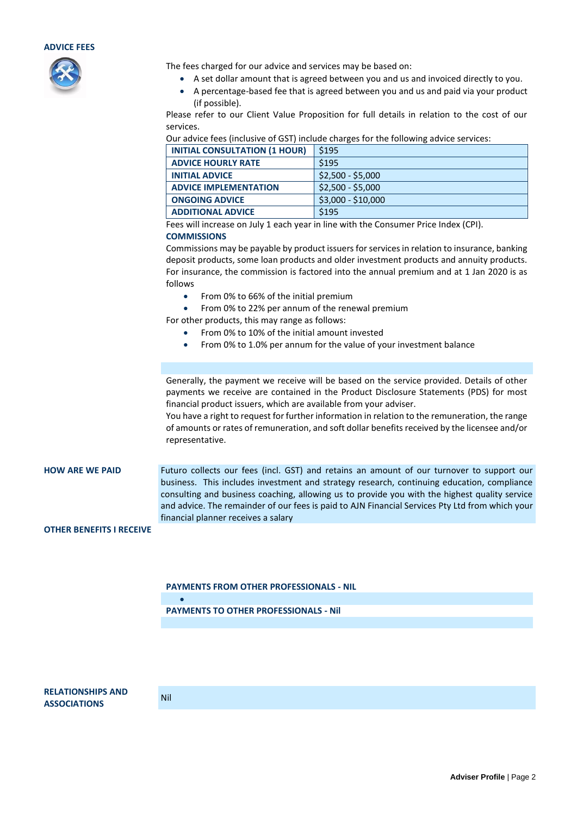



The fees charged for our advice and services may be based on:

- A set dollar amount that is agreed between you and us and invoiced directly to you.
- A percentage-based fee that is agreed between you and us and paid via your product (if possible).

Please refer to our Client Value Proposition for full details in relation to the cost of our services.

Our advice fees (inclusive of GST) include charges for the following advice services:

| <b>INITIAL CONSULTATION (1 HOUR)</b> | \$195              |
|--------------------------------------|--------------------|
| <b>ADVICE HOURLY RATE</b>            | S <sub>195</sub>   |
| <b>INITIAL ADVICE</b>                | $$2,500 - $5,000$  |
| <b>ADVICE IMPLEMENTATION</b>         | $$2,500 - $5,000$  |
| <b>ONGOING ADVICE</b>                | $$3,000 - $10,000$ |
| <b>ADDITIONAL ADVICE</b>             | \$195              |

Fees will increase on July 1 each year in line with the Consumer Price Index (CPI).

## **COMMISSIONS**

Commissions may be payable by product issuers for services in relation to insurance, banking deposit products, some loan products and older investment products and annuity products. For insurance, the commission is factored into the annual premium and at 1 Jan 2020 is as follows

- From 0% to 66% of the initial premium
- From 0% to 22% per annum of the renewal premium

For other products, this may range as follows:

- From 0% to 10% of the initial amount invested
- From 0% to 1.0% per annum for the value of your investment balance

Generally, the payment we receive will be based on the service provided. Details of other payments we receive are contained in the Product Disclosure Statements (PDS) for most financial product issuers, which are available from your adviser.

You have a right to request for further information in relation to the remuneration, the range of amounts or rates of remuneration, and soft dollar benefits received by the licensee and/or representative.

**HOW ARE WE PAID** Futuro collects our fees (incl. GST) and retains an amount of our turnover to support our business. This includes investment and strategy research, continuing education, compliance consulting and business coaching, allowing us to provide you with the highest quality service and advice. The remainder of our fees is paid to AJN Financial Services Pty Ltd from which your financial planner receives a salary

## **OTHER BENEFITS I RECEIVE**

**PAYMENTS FROM OTHER PROFESSIONALS - NIL**

**PAYMENTS TO OTHER PROFESSIONALS - Nil**

**RELATIONSHIPS AND ASSOCIATIONS** Nil

•